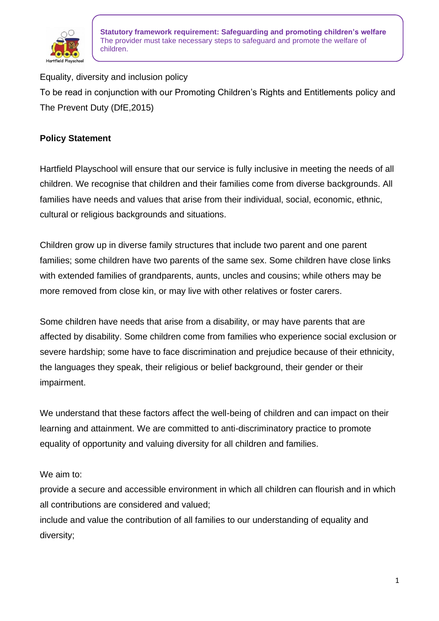

Equality, diversity and inclusion policy To be read in conjunction with our Promoting Children's Rights and Entitlements policy and The Prevent Duty (DfE,2015)

### **Policy Statement**

Hartfield Playschool will ensure that our service is fully inclusive in meeting the needs of all children. We recognise that children and their families come from diverse backgrounds. All families have needs and values that arise from their individual, social, economic, ethnic, cultural or religious backgrounds and situations.

Children grow up in diverse family structures that include two parent and one parent families; some children have two parents of the same sex. Some children have close links with extended families of grandparents, aunts, uncles and cousins; while others may be more removed from close kin, or may live with other relatives or foster carers.

Some children have needs that arise from a disability, or may have parents that are affected by disability. Some children come from families who experience social exclusion or severe hardship; some have to face discrimination and prejudice because of their ethnicity, the languages they speak, their religious or belief background, their gender or their impairment.

We understand that these factors affect the well-being of children and can impact on their learning and attainment. We are committed to anti-discriminatory practice to promote equality of opportunity and valuing diversity for all children and families.

#### We aim to:

provide a secure and accessible environment in which all children can flourish and in which all contributions are considered and valued;

include and value the contribution of all families to our understanding of equality and diversity;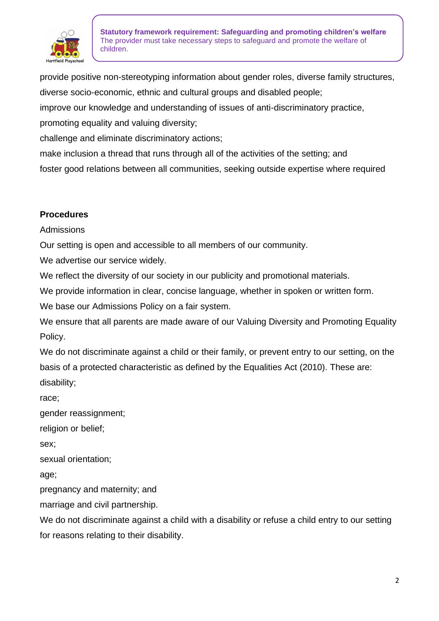

provide positive non-stereotyping information about gender roles, diverse family structures, diverse socio-economic, ethnic and cultural groups and disabled people;

improve our knowledge and understanding of issues of anti-discriminatory practice,

promoting equality and valuing diversity;

challenge and eliminate discriminatory actions;

make inclusion a thread that runs through all of the activities of the setting; and

foster good relations between all communities, seeking outside expertise where required

#### **Procedures**

Admissions

Our setting is open and accessible to all members of our community.

We advertise our service widely.

We reflect the diversity of our society in our publicity and promotional materials.

We provide information in clear, concise language, whether in spoken or written form.

We base our Admissions Policy on a fair system.

We ensure that all parents are made aware of our Valuing Diversity and Promoting Equality Policy.

We do not discriminate against a child or their family, or prevent entry to our setting, on the basis of a protected characteristic as defined by the Equalities Act (2010). These are: disability;

race;

gender reassignment;

religion or belief;

sex;

sexual orientation;

age;

pregnancy and maternity; and

marriage and civil partnership.

We do not discriminate against a child with a disability or refuse a child entry to our setting for reasons relating to their disability.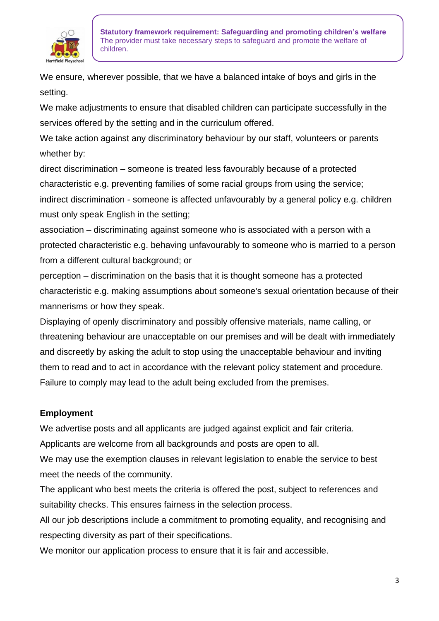

We ensure, wherever possible, that we have a balanced intake of boys and girls in the setting.

We make adjustments to ensure that disabled children can participate successfully in the services offered by the setting and in the curriculum offered.

We take action against any discriminatory behaviour by our staff, volunteers or parents whether by:

direct discrimination – someone is treated less favourably because of a protected characteristic e.g. preventing families of some racial groups from using the service; indirect discrimination - someone is affected unfavourably by a general policy e.g. children must only speak English in the setting;

association – discriminating against someone who is associated with a person with a protected characteristic e.g. behaving unfavourably to someone who is married to a person from a different cultural background; or

perception – discrimination on the basis that it is thought someone has a protected characteristic e.g. making assumptions about someone's sexual orientation because of their mannerisms or how they speak.

Displaying of openly discriminatory and possibly offensive materials, name calling, or threatening behaviour are unacceptable on our premises and will be dealt with immediately and discreetly by asking the adult to stop using the unacceptable behaviour and inviting them to read and to act in accordance with the relevant policy statement and procedure. Failure to comply may lead to the adult being excluded from the premises.

# **Employment**

We advertise posts and all applicants are judged against explicit and fair criteria.

Applicants are welcome from all backgrounds and posts are open to all.

We may use the exemption clauses in relevant legislation to enable the service to best meet the needs of the community.

The applicant who best meets the criteria is offered the post, subject to references and suitability checks. This ensures fairness in the selection process.

All our job descriptions include a commitment to promoting equality, and recognising and respecting diversity as part of their specifications.

We monitor our application process to ensure that it is fair and accessible.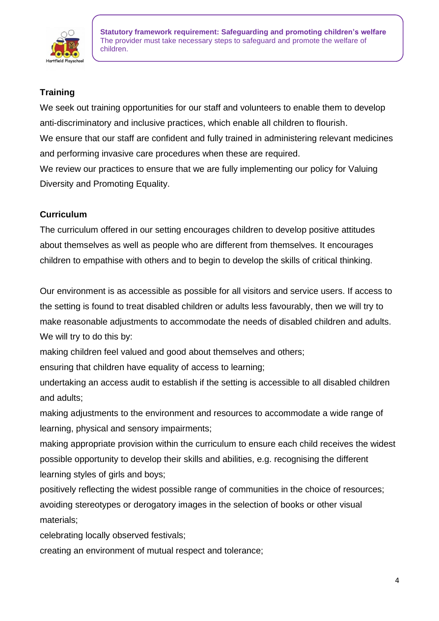

# **Training**

We seek out training opportunities for our staff and volunteers to enable them to develop anti-discriminatory and inclusive practices, which enable all children to flourish. We ensure that our staff are confident and fully trained in administering relevant medicines and performing invasive care procedures when these are required. We review our practices to ensure that we are fully implementing our policy for Valuing

Diversity and Promoting Equality.

# **Curriculum**

The curriculum offered in our setting encourages children to develop positive attitudes about themselves as well as people who are different from themselves. It encourages children to empathise with others and to begin to develop the skills of critical thinking.

Our environment is as accessible as possible for all visitors and service users. If access to the setting is found to treat disabled children or adults less favourably, then we will try to make reasonable adjustments to accommodate the needs of disabled children and adults. We will try to do this by:

making children feel valued and good about themselves and others;

ensuring that children have equality of access to learning;

undertaking an access audit to establish if the setting is accessible to all disabled children and adults;

making adjustments to the environment and resources to accommodate a wide range of learning, physical and sensory impairments;

making appropriate provision within the curriculum to ensure each child receives the widest possible opportunity to develop their skills and abilities, e.g. recognising the different learning styles of girls and boys;

positively reflecting the widest possible range of communities in the choice of resources; avoiding stereotypes or derogatory images in the selection of books or other visual materials;

celebrating locally observed festivals;

creating an environment of mutual respect and tolerance;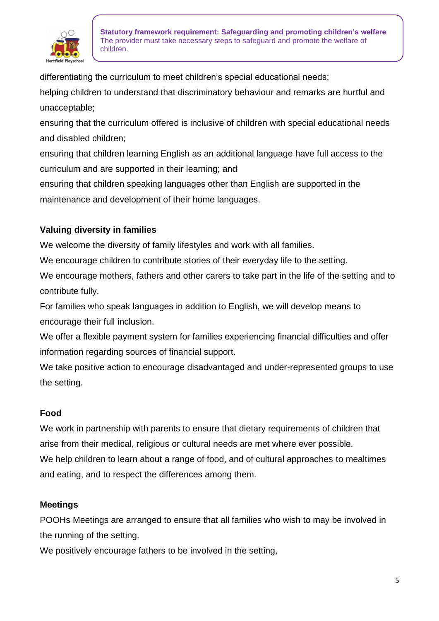

differentiating the curriculum to meet children's special educational needs;

helping children to understand that discriminatory behaviour and remarks are hurtful and unacceptable;

ensuring that the curriculum offered is inclusive of children with special educational needs and disabled children;

ensuring that children learning English as an additional language have full access to the curriculum and are supported in their learning; and

ensuring that children speaking languages other than English are supported in the maintenance and development of their home languages.

## **Valuing diversity in families**

We welcome the diversity of family lifestyles and work with all families.

We encourage children to contribute stories of their everyday life to the setting.

We encourage mothers, fathers and other carers to take part in the life of the setting and to contribute fully.

For families who speak languages in addition to English, we will develop means to encourage their full inclusion.

We offer a flexible payment system for families experiencing financial difficulties and offer information regarding sources of financial support.

We take positive action to encourage disadvantaged and under-represented groups to use the setting.

### **Food**

We work in partnership with parents to ensure that dietary requirements of children that arise from their medical, religious or cultural needs are met where ever possible. We help children to learn about a range of food, and of cultural approaches to mealtimes and eating, and to respect the differences among them.

### **Meetings**

POOHs Meetings are arranged to ensure that all families who wish to may be involved in the running of the setting.

We positively encourage fathers to be involved in the setting,